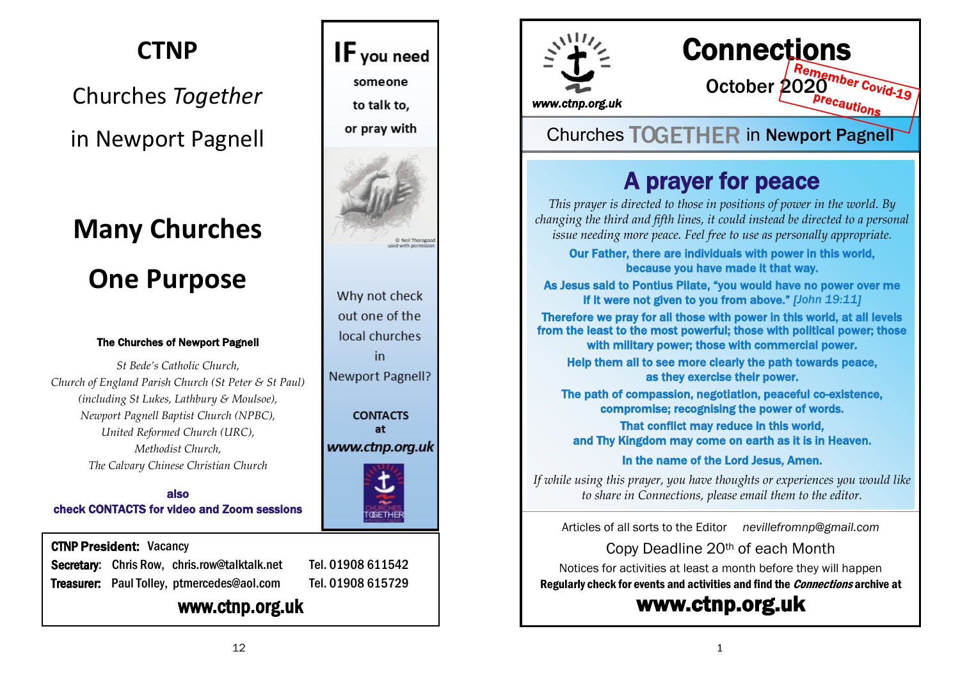### **CTNP**

## Churches *Together* in Newport Pagnell

## **Many Churches One Purpose**

#### The Churches of Newport Pagnell

*St Bede's Catholic Church, Church of England Parish Church (St Peter & St Paul) (including St Lukes, Lathbury & Moulsoe), Newport Pagnell Baptist Church (NPBC), United Reformed Church (URC), Methodist Church, The Calvary Chinese Christian Church*

also check CONTACTS for video and Zoom sessions

#### CTNP President: Vacancy

Secretary: Chris Row, chris.row@talktalk.net Tel. 01908 611542 Treasurer: Paul Tolley, ptmercedes@aol.com Tel. 01908 615729

#### www.ctnp.org.uk





# **Connections Dinner Remember Covid-19**<br>October 2020<br>*Precautions*

*www.ctnp.org.uk* 

#### Churches TOGETHER in Newport Pagnell

## A prayer for peace

*This prayer is directed to those in positions of power in the world. By changing the third and fifth lines, it could instead be directed to a personal issue needing more peace. Feel free to use as personally appropriate.*

Our Father, there are individuals with power in this world, because you have made it that way.

As Jesus said to Pontius Pilate, "you would have no power over me if it were not given to you from above." *[John 19:11]*

Therefore we pray for all those with power in this world, at all levels from the least to the most powerful; those with political power; those with military power; those with commercial power.

Help them all to see more clearly the path towards peace, as they exercise their power.

The path of compassion, negotiation, peaceful co-existence, compromise; recognising the power of words.

That conflict may reduce in this world, and Thy Kingdom may come on earth as it is in Heaven.

In the name of the Lord Jesus, Amen.

*If while using this prayer, you have thoughts or experiences you would like to share in Connections, please email them to the editor.*

Articles of all sorts to the Editor *[nevillefromnp@gmail.com](mailto:nevillefromnp@gmail.com)*

Copy Deadline 20th of each Month Notices for activities at least a month before they will happen Regularly check for events and activities and find the Connections archive at

#### [www.ctnp.org.uk](http://www.ctnp.org.uk)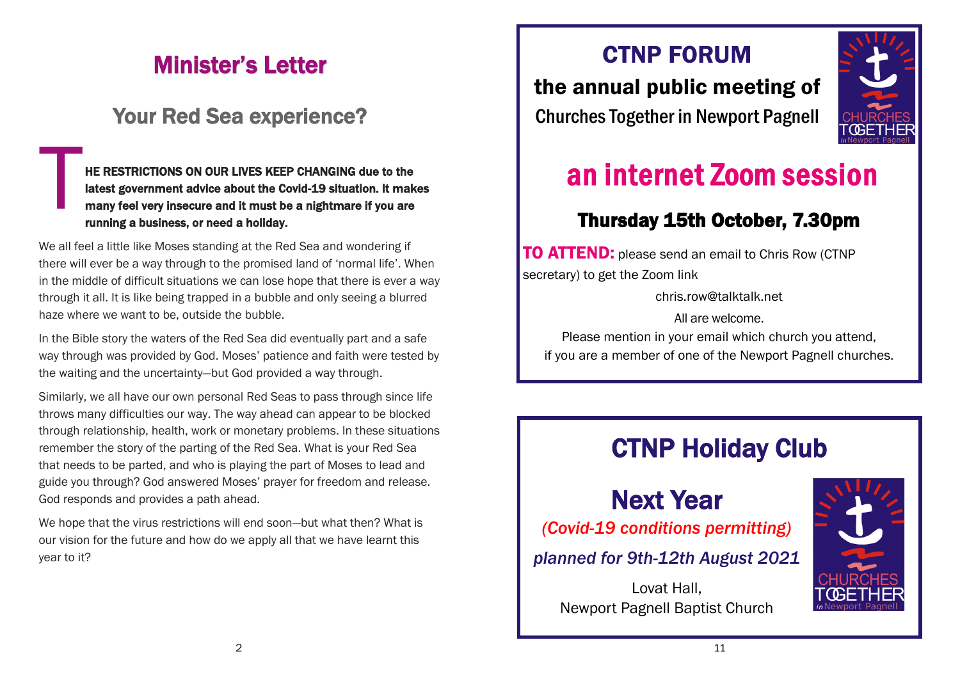## Minister's Letter

#### Your Red Sea experience?

HE F<br>
lates<br>
mar<br>
runr HE RESTRICTIONS ON OUR LIVES KEEP CHANGING due to the latest government advice about the Covid-19 situation. It makes many feel very insecure and it must be a nightmare if you are running a business, or need a holiday.

We all feel a little like Moses standing at the Red Sea and wondering if there will ever be a way through to the promised land of 'normal life'. When in the middle of difficult situations we can lose hope that there is ever a way through it all. It is like being trapped in a bubble and only seeing a blurred haze where we want to be, outside the bubble.

In the Bible story the waters of the Red Sea did eventually part and a safe way through was provided by God. Moses' patience and faith were tested by the waiting and the uncertainty—but God provided a way through.

Similarly, we all have our own personal Red Seas to pass through since life throws many difficulties our way. The way ahead can appear to be blocked through relationship, health, work or monetary problems. In these situations remember the story of the parting of the Red Sea. What is your Red Sea that needs to be parted, and who is playing the part of Moses to lead and guide you through? God answered Moses' prayer for freedom and release. God responds and provides a path ahead.

We hope that the virus restrictions will end soon—but what then? What is our vision for the future and how do we apply all that we have learnt this year to it?

#### CTNP FORUM

the annual public meeting of Churches Together in Newport Pagnell



## an internet Zoom session

#### Thursday 15th October, 7.30pm

**TO ATTEND:** please send an email to Chris Row (CTNP secretary) to get the Zoom link

chris.row@talktalk.net

All are welcome.

Please mention in your email which church you attend, if you are a member of one of the Newport Pagnell churches.

## CTNP Holiday Club

## Next Year

*(Covid-19 conditions permitting)*

*planned for 9th-12th August 2021*

Lovat Hall, Newport Pagnell Baptist Church

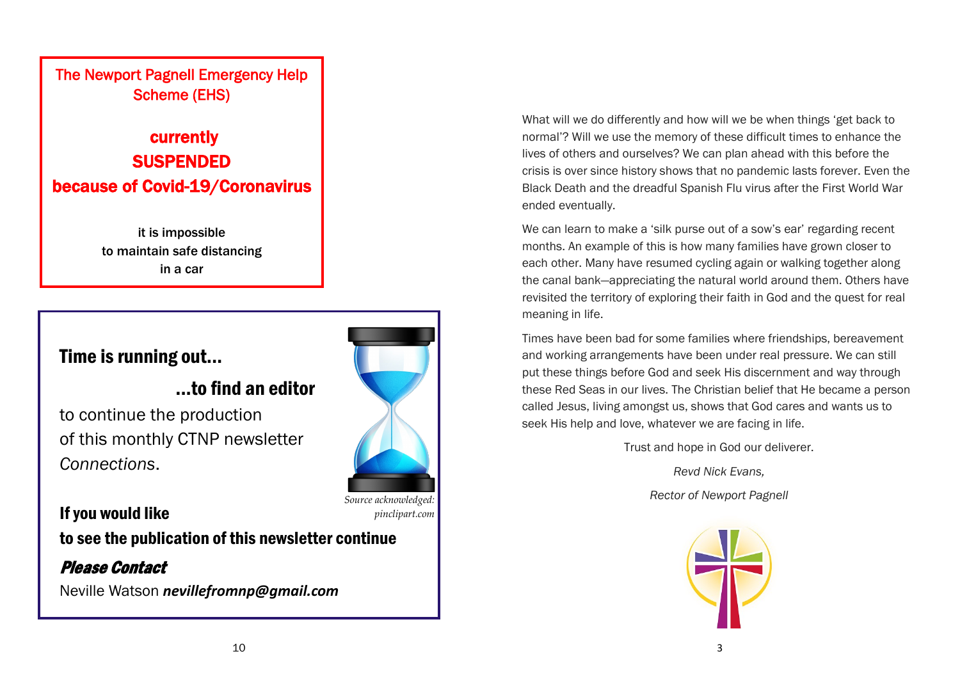#### The Newport Pagnell Emergency Help Scheme (EHS)

#### currently **SUSPENDED** because of Covid-19/Coronavirus

it is impossible to maintain safe distancing in a car

#### Time is running out...

#### ...to find an editor

to continue the production of this monthly CTNP newsletter *Connections*.

If you would like to see the publication of this newsletter continue

Please Contact Neville Watson *[nevillefromnp@gmail.com](mailto:nevillefromnp@gmail.com)*



*Source acknowledged: pinclipart.com*

What will we do differently and how will we be when things 'get back to normal'? Will we use the memory of these difficult times to enhance the lives of others and ourselves? We can plan ahead with this before the crisis is over since history shows that no pandemic lasts forever. Even the Black Death and the dreadful Spanish Flu virus after the First World War ended eventually.

We can learn to make a 'silk purse out of a sow's ear' regarding recent months. An example of this is how many families have grown closer to each other. Many have resumed cycling again or walking together along the canal bank—appreciating the natural world around them. Others have revisited the territory of exploring their faith in God and the quest for real meaning in life.

Times have been bad for some families where friendships, bereavement and working arrangements have been under real pressure. We can still put these things before God and seek His discernment and way through these Red Seas in our lives. The Christian belief that He became a person called Jesus, living amongst us, shows that God cares and wants us to seek His help and love, whatever we are facing in life.

Trust and hope in God our deliverer.

*Revd Nick Evans,*

*Rector of Newport Pagnell*

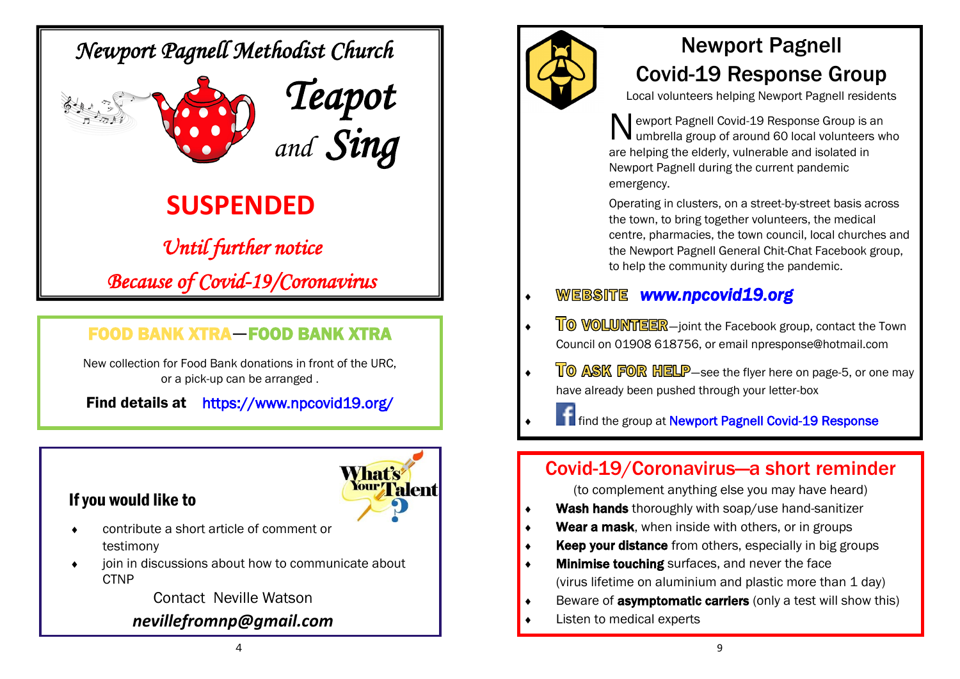### *Newport Pagnell Methodist Church*





## **SUSPENDED**

*Until further notice Because of Covid-19/Coronavirus* 

#### FOOD BANK XTRA—FOOD BANK XTRA

New collection for Food Bank donations in front of the URC, or a pick-up can be arranged .

Find details at <https://www.npcovid19.org/>

#### If you would like to



- contribute a short article of comment or testimony
- join in discussions about how to communicate about **CTNP**

Contact Neville Watson

#### *[nevillefromnp@gmail.com](mailto:nevillefromnp@gmail.com)*



## Newport Pagnell Covid-19 Response Group

Local volunteers helping Newport Pagnell residents

N ewport Pagnell Covid-19 Response Group is an umbrella group of around 60 local volunteers who are helping the elderly, vulnerable and isolated in Newport Pagnell during the current pandemic emergency.

Operating in clusters, on a street-by-street basis across the town, to bring together volunteers, the medical centre, pharmacies, the town council, local churches and the Newport Pagnell General Chit-Chat Facebook group, to help the community during the pandemic.

#### *[www.npcovid19.org](http://www.npcovid19.org)*

- TO VOLUNTEER-joint the Facebook group, contact the Town Council on 01908 618756, or email npresponse@hotmail.com
- **TO ASK FOR HELP**—see the flyer here on page-5, or one may have already been pushed through your letter-box

**f** find the group at Newport Pagnell Covid-19 Response

#### Covid-19/Coronavirus—a short reminder

(to complement anything else you may have heard)

- Wash hands thoroughly with soap/use hand-sanitizer
- Wear a mask, when inside with others, or in groups
- **Keep your distance** from others, especially in big groups
- **Minimise touching** surfaces, and never the face (virus lifetime on aluminium and plastic more than 1 day)
- Beware of **asymptomatic carriers** (only a test will show this)
- Listen to medical experts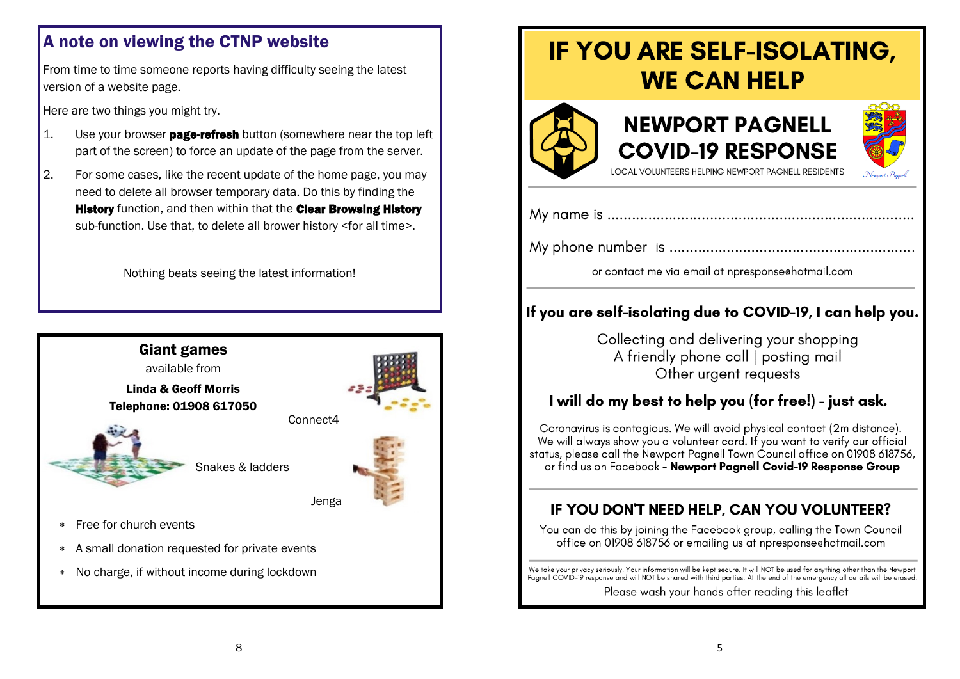#### A note on viewing the CTNP website

From time to time someone reports having difficulty seeing the latest version of a website page.

Here are two things you might try.

- $\vert$ 1. Use your browser **page-refresh** button (somewhere near the top left part of the screen) to force an update of the page from the server.
- 2. For some cases, like the recent update of the home page, you may need to delete all browser temporary data. Do this by finding the **History** function, and then within that the **Clear Browsing History** sub-function. Use that, to delete all brower history <for all time>.

Nothing beats seeing the latest information!



## IF YOU ARE SELF-ISOLATING, **WE CAN HELP**







LOCAL VOLUNTEERS HELPING NEWPORT PAGNELL RESIDENTS

or contact me via email at npresponse chotmail.com

#### If you are self-isolating due to COVID-19, I can help you.

Collecting and delivering your shopping A friendly phone call | posting mail Other urgent requests

#### I will do my best to help you (for free!) - just ask.

Coronavirus is contagious. We will avoid physical contact (2m distance). We will always show you a volunteer card. If you want to verify our official status, please call the Newport Pagnell Town Council office on 01908 618756, or find us on Facebook - Newport Pagnell Covid-19 Response Group

#### IF YOU DON'T NEED HELP, CAN YOU VOLUNTEER?

You can do this by joining the Facebook group, calling the Town Council office on 01908 618756 or emailing us at npresponse hotmail.com

We take your privacy seriously. Your information will be kept secure. It will NOT be used for anything other than the Newport<br>Pagnell COVID-19 response and will NOT be shared with third parties. At the end of the emergency Please wash your hands after reading this leaflet

8